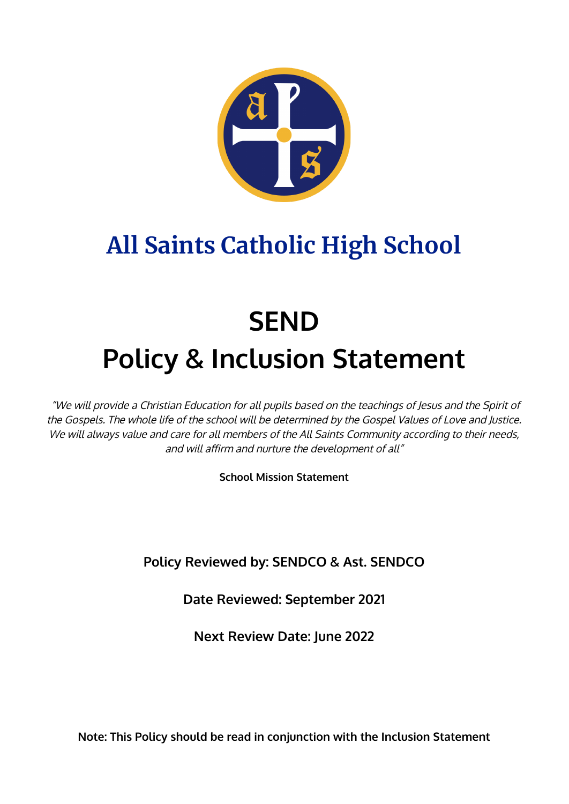

# **All Saints Catholic High School**

# **SEND Policy & Inclusion Statement**

"We will provide <sup>a</sup> Christian Education for all pupils based on the teachings of Jesus and the Spirit of the Gospels. The whole life of the school will be determined by the Gospel Values of Love and Justice. We will always value and care for all members of the All Saints Community according to their needs, and will affirm and nurture the development of all"

**School Mission Statement**

**Policy Reviewed by: SENDCO & Ast. SENDCO**

**Date Reviewed: September 2021**

**Next Review Date: June 2022**

**Note: This Policy should be read in conjunction with the Inclusion Statement**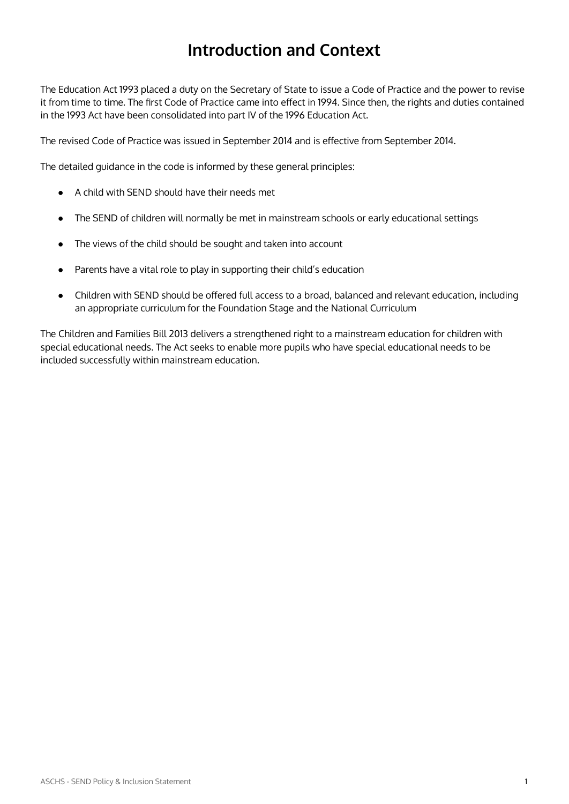# **Introduction and Context**

The Education Act 1993 placed a duty on the Secretary of State to issue a Code of Practice and the power to revise it from time to time. The first Code of Practice came into effect in 1994. Since then, the rights and duties contained in the 1993 Act have been consolidated into part IV of the 1996 Education Act.

The revised Code of Practice was issued in September 2014 and is effective from September 2014.

The detailed guidance in the code is informed by these general principles:

- A child with SEND should have their needs met
- The SEND of children will normally be met in mainstream schools or early educational settings
- The views of the child should be sought and taken into account
- Parents have a vital role to play in supporting their child's education
- Children with SEND should be offered full access to a broad, balanced and relevant education, including an appropriate curriculum for the Foundation Stage and the National Curriculum

The Children and Families Bill 2013 delivers a strengthened right to a mainstream education for children with special educational needs. The Act seeks to enable more pupils who have special educational needs to be included successfully within mainstream education.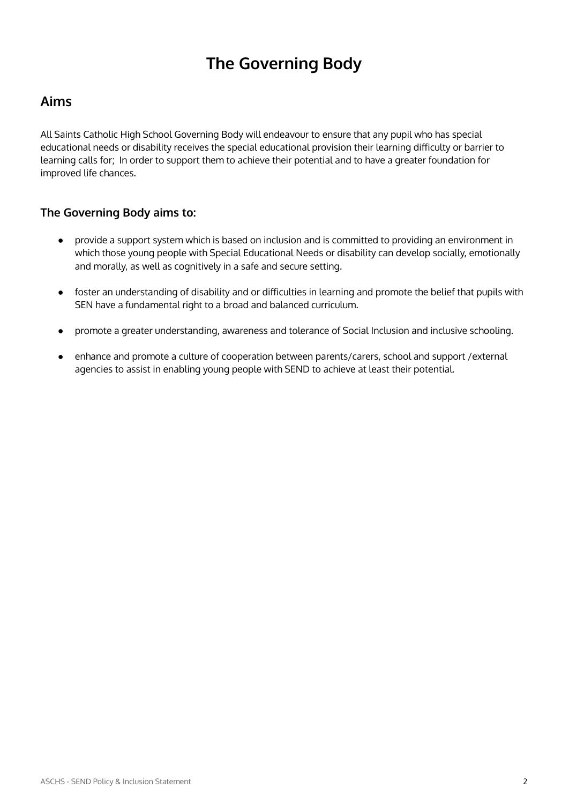# **The Governing Body**

# **Aims**

All Saints Catholic High School Governing Body will endeavour to ensure that any pupil who has special educational needs or disability receives the special educational provision their learning difficulty or barrier to learning calls for; In order to support them to achieve their potential and to have a greater foundation for improved life chances.

# **The Governing Body aims to:**

- provide a support system which is based on inclusion and is committed to providing an environment in which those young people with Special Educational Needs or disability can develop socially, emotionally and morally, as well as cognitively in a safe and secure setting.
- foster an understanding of disability and or difficulties in learning and promote the belief that pupils with SEN have a fundamental right to a broad and balanced curriculum.
- promote a greater understanding, awareness and tolerance of Social Inclusion and inclusive schooling.
- enhance and promote a culture of cooperation between parents/carers, school and support /external agencies to assist in enabling young people with SEND to achieve at least their potential.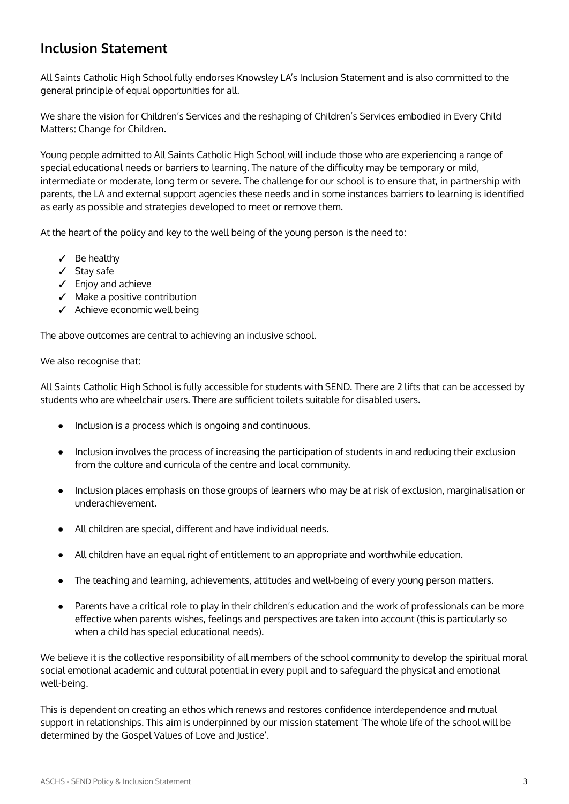# **Inclusion Statement**

All Saints Catholic High School fully endorses Knowsley LA's Inclusion Statement and is also committed to the general principle of equal opportunities for all.

We share the vision for Children's Services and the reshaping of Children's Services embodied in Every Child Matters: Change for Children.

Young people admitted to All Saints Catholic High School will include those who are experiencing a range of special educational needs or barriers to learning. The nature of the difficulty may be temporary or mild, intermediate or moderate, long term or severe. The challenge for our school is to ensure that, in partnership with parents, the LA and external support agencies these needs and in some instances barriers to learning is identified as early as possible and strategies developed to meet or remove them.

At the heart of the policy and key to the well being of the young person is the need to:

- ✓ Be healthy
- ✓ Stay safe
- ✓ Enjoy and achieve
- ✓ Make a positive contribution
- ✓ Achieve economic well being

The above outcomes are central to achieving an inclusive school.

We also recognise that:

All Saints Catholic High School is fully accessible for students with SEND. There are 2 lifts that can be accessed by students who are wheelchair users. There are sufficient toilets suitable for disabled users.

- Inclusion is a process which is ongoing and continuous.
- Inclusion involves the process of increasing the participation of students in and reducing their exclusion from the culture and curricula of the centre and local community.
- Inclusion places emphasis on those groups of learners who may be at risk of exclusion, marginalisation or underachievement.
- All children are special, different and have individual needs.
- All children have an equal right of entitlement to an appropriate and worthwhile education.
- The teaching and learning, achievements, attitudes and well-being of every young person matters.
- Parents have a critical role to play in their children's education and the work of professionals can be more effective when parents wishes, feelings and perspectives are taken into account (this is particularly so when a child has special educational needs).

We believe it is the collective responsibility of all members of the school community to develop the spiritual moral social emotional academic and cultural potential in every pupil and to safeguard the physical and emotional well-being.

This is dependent on creating an ethos which renews and restores confidence interdependence and mutual support in relationships. This aim is underpinned by our mission statement 'The whole life of the school will be determined by the Gospel Values of Love and Justice'.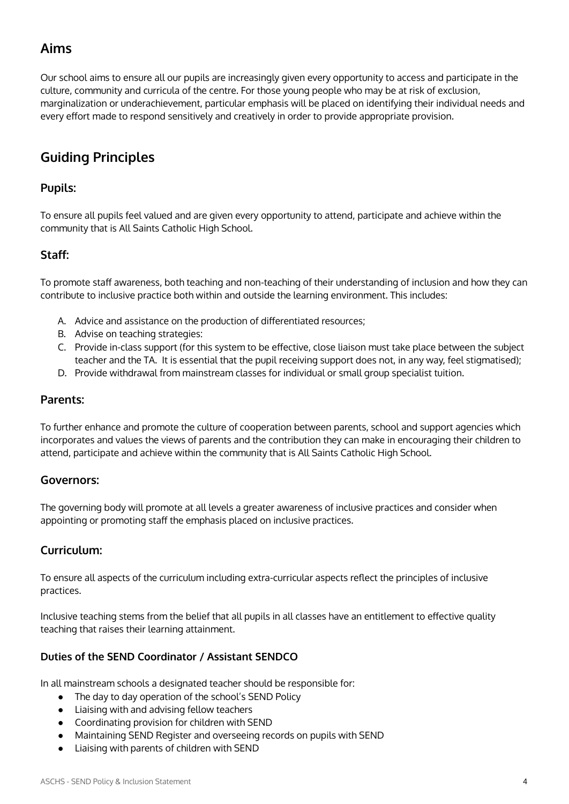# **Aims**

Our school aims to ensure all our pupils are increasingly given every opportunity to access and participate in the culture, community and curricula of the centre. For those young people who may be at risk of exclusion, marginalization or underachievement, particular emphasis will be placed on identifying their individual needs and every effort made to respond sensitively and creatively in order to provide appropriate provision.

# **Guiding Principles**

# **Pupils:**

To ensure all pupils feel valued and are given every opportunity to attend, participate and achieve within the community that is All Saints Catholic High School.

# **Staff:**

To promote staff awareness, both teaching and non-teaching of their understanding of inclusion and how they can contribute to inclusive practice both within and outside the learning environment. This includes:

- A. Advice and assistance on the production of differentiated resources;
- B. Advise on teaching strategies:
- C. Provide in-class support (for this system to be effective, close liaison must take place between the subject teacher and the TA. It is essential that the pupil receiving support does not, in any way, feel stigmatised);
- D. Provide withdrawal from mainstream classes for individual or small group specialist tuition.

#### **Parents:**

To further enhance and promote the culture of cooperation between parents, school and support agencies which incorporates and values the views of parents and the contribution they can make in encouraging their children to attend, participate and achieve within the community that is All Saints Catholic High School.

## **Governors:**

The governing body will promote at all levels a greater awareness of inclusive practices and consider when appointing or promoting staff the emphasis placed on inclusive practices.

## **Curriculum:**

To ensure all aspects of the curriculum including extra-curricular aspects reflect the principles of inclusive practices.

Inclusive teaching stems from the belief that all pupils in all classes have an entitlement to effective quality teaching that raises their learning attainment.

## **Duties of the SEND Coordinator / Assistant SENDCO**

In all mainstream schools a designated teacher should be responsible for:

- The day to day operation of the school's SEND Policy
- Liaising with and advising fellow teachers
- Coordinating provision for children with SEND
- Maintaining SEND Register and overseeing records on pupils with SEND
- Liaising with parents of children with SEND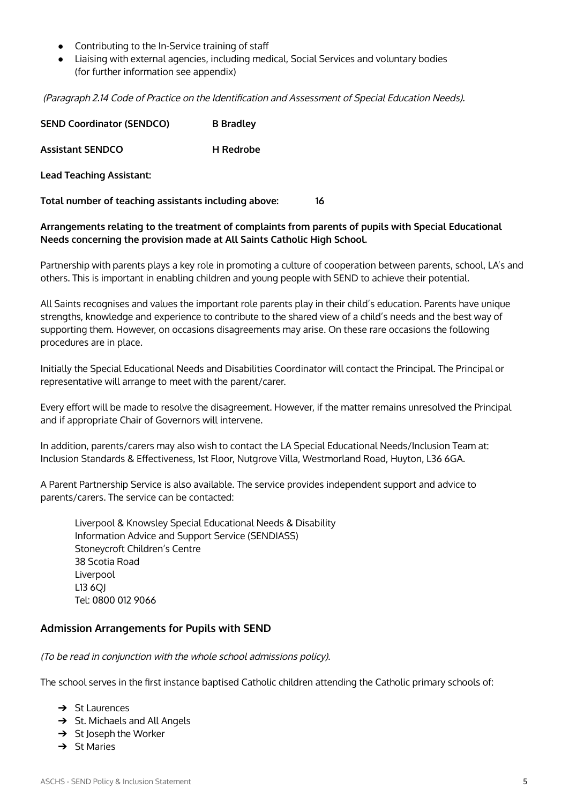- Contributing to the In-Service training of staff
- Liaising with external agencies, including medical, Social Services and voluntary bodies (for further information see appendix)

(Paragraph 2.14 Code of Practice on the Identification and Assessment of Special Education Needs).

| <b>SEND Coordinator (SENDCO)</b> | <b>B</b> Bradley |
|----------------------------------|------------------|
| <b>Assistant SENDCO</b>          | <b>H</b> Redrobe |
| Lead Teaching Assistant:         |                  |

**Total number of teaching assistants including above: 16**

#### **Arrangements relating to the treatment of complaints from parents of pupils with Special Educational Needs concerning the provision made at All Saints Catholic High School.**

Partnership with parents plays a key role in promoting a culture of cooperation between parents, school, LA's and others. This is important in enabling children and young people with SEND to achieve their potential.

All Saints recognises and values the important role parents play in their child's education. Parents have unique strengths, knowledge and experience to contribute to the shared view of a child's needs and the best way of supporting them. However, on occasions disagreements may arise. On these rare occasions the following procedures are in place.

Initially the Special Educational Needs and Disabilities Coordinator will contact the Principal. The Principal or representative will arrange to meet with the parent/carer.

Every effort will be made to resolve the disagreement. However, if the matter remains unresolved the Principal and if appropriate Chair of Governors will intervene.

In addition, parents/carers may also wish to contact the LA Special Educational Needs/Inclusion Team at: Inclusion Standards & Effectiveness, 1st Floor, Nutgrove Villa, Westmorland Road, Huyton, L36 6GA.

A Parent Partnership Service is also available. The service provides independent support and advice to parents/carers. The service can be contacted:

Liverpool & Knowsley Special Educational Needs & Disability Information Advice and Support Service (SENDIASS) Stoneycroft Children's Centre 38 Scotia Road Liverpool L13 6QJ Tel: 0800 012 9066

#### **Admission Arrangements for Pupils with SEND**

(To be read in conjunction with the whole school admissions policy).

The school serves in the first instance baptised Catholic children attending the Catholic primary schools of:

- $\rightarrow$  St Laurences
- → St. Michaels and All Angels
- $\rightarrow$  St Joseph the Worker
- ➔ St Maries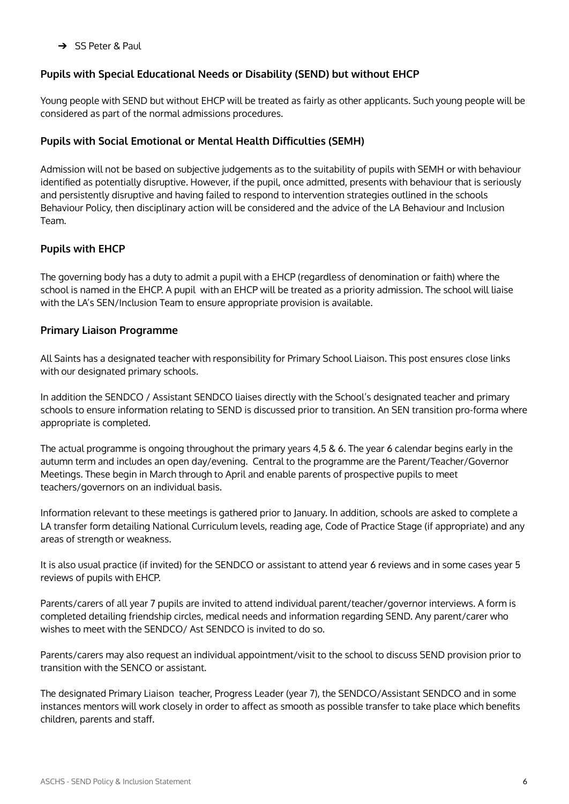➔ SS Peter & Paul

## **Pupils with Special Educational Needs or Disability (SEND) but without EHCP**

Young people with SEND but without EHCP will be treated as fairly as other applicants. Such young people will be considered as part of the normal admissions procedures.

#### **Pupils with Social Emotional or Mental Health Difficulties (SEMH)**

Admission will not be based on subjective judgements as to the suitability of pupils with SEMH or with behaviour identified as potentially disruptive. However, if the pupil, once admitted, presents with behaviour that is seriously and persistently disruptive and having failed to respond to intervention strategies outlined in the schools Behaviour Policy, then disciplinary action will be considered and the advice of the LA Behaviour and Inclusion Team.

#### **Pupils with EHCP**

The governing body has a duty to admit a pupil with a EHCP (regardless of denomination or faith) where the school is named in the EHCP. A pupil with an EHCP will be treated as a priority admission. The school will liaise with the LA's SEN/Inclusion Team to ensure appropriate provision is available.

#### **Primary Liaison Programme**

All Saints has a designated teacher with responsibility for Primary School Liaison. This post ensures close links with our designated primary schools.

In addition the SENDCO / Assistant SENDCO liaises directly with the School's designated teacher and primary schools to ensure information relating to SEND is discussed prior to transition. An SEN transition pro-forma where appropriate is completed.

The actual programme is ongoing throughout the primary years 4,5 & 6. The year 6 calendar begins early in the autumn term and includes an open day/evening. Central to the programme are the Parent/Teacher/Governor Meetings. These begin in March through to April and enable parents of prospective pupils to meet teachers/governors on an individual basis.

Information relevant to these meetings is gathered prior to January. In addition, schools are asked to complete a LA transfer form detailing National Curriculum levels, reading age, Code of Practice Stage (if appropriate) and any areas of strength or weakness.

It is also usual practice (if invited) for the SENDCO or assistant to attend year 6 reviews and in some cases year 5 reviews of pupils with EHCP.

Parents/carers of all year 7 pupils are invited to attend individual parent/teacher/governor interviews. A form is completed detailing friendship circles, medical needs and information regarding SEND. Any parent/carer who wishes to meet with the SENDCO/ Ast SENDCO is invited to do so.

Parents/carers may also request an individual appointment/visit to the school to discuss SEND provision prior to transition with the SENCO or assistant.

The designated Primary Liaison teacher, Progress Leader (year 7), the SENDCO/Assistant SENDCO and in some instances mentors will work closely in order to affect as smooth as possible transfer to take place which benefits children, parents and staff.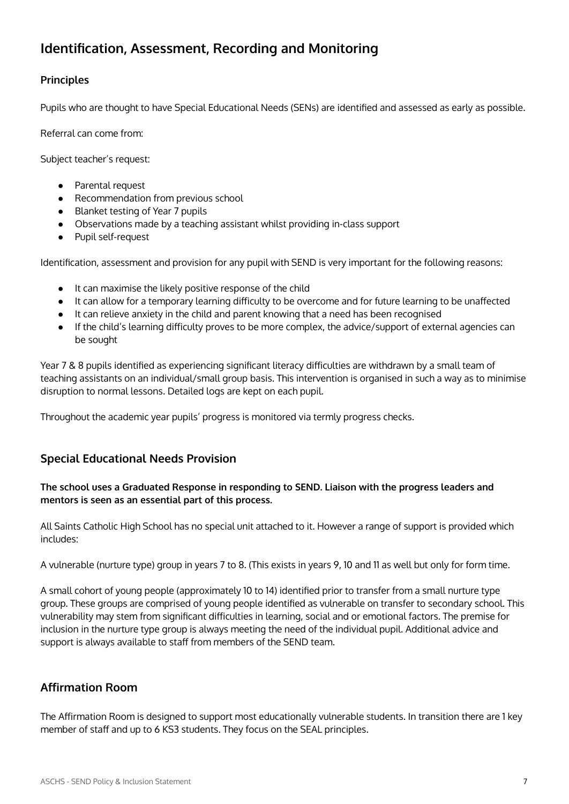# **Identification, Assessment, Recording and Monitoring**

## **Principles**

Pupils who are thought to have Special Educational Needs (SENs) are identified and assessed as early as possible.

Referral can come from:

Subject teacher's request:

- Parental request
- Recommendation from previous school
- Blanket testing of Year 7 pupils
- Observations made by a teaching assistant whilst providing in-class support
- Pupil self-request

Identification, assessment and provision for any pupil with SEND is very important for the following reasons:

- It can maximise the likely positive response of the child
- It can allow for a temporary learning difficulty to be overcome and for future learning to be unaffected
- It can relieve anxiety in the child and parent knowing that a need has been recognised
- If the child's learning difficulty proves to be more complex, the advice/support of external agencies can be sought

Year 7 & 8 pupils identified as experiencing significant literacy difficulties are withdrawn by a small team of teaching assistants on an individual/small group basis. This intervention is organised in such a way as to minimise disruption to normal lessons. Detailed logs are kept on each pupil.

Throughout the academic year pupils' progress is monitored via termly progress checks.

# **Special Educational Needs Provision**

#### **The school uses a Graduated Response in responding to SEND. Liaison with the progress leaders and mentors is seen as an essential part of this process.**

All Saints Catholic High School has no special unit attached to it. However a range of support is provided which includes:

A vulnerable (nurture type) group in years 7 to 8. (This exists in years 9, 10 and 11 as well but only for form time.

A small cohort of young people (approximately 10 to 14) identified prior to transfer from a small nurture type group. These groups are comprised of young people identified as vulnerable on transfer to secondary school. This vulnerability may stem from significant difficulties in learning, social and or emotional factors. The premise for inclusion in the nurture type group is always meeting the need of the individual pupil. Additional advice and support is always available to staff from members of the SEND team.

# **Affirmation Room**

The Affirmation Room is designed to support most educationally vulnerable students. In transition there are 1 key member of staff and up to 6 KS3 students. They focus on the SEAL principles.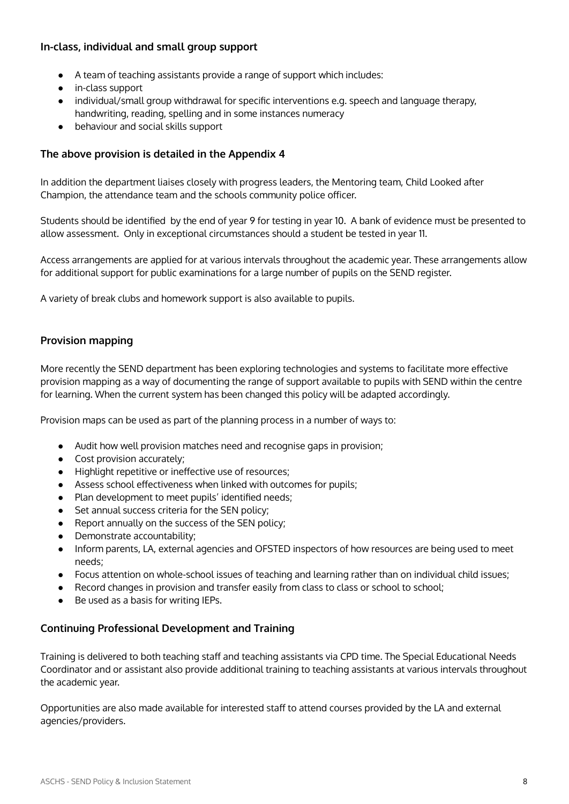#### **In-class, individual and small group support**

- A team of teaching assistants provide a range of support which includes:
- in-class support
- individual/small group withdrawal for specific interventions e.g. speech and language therapy, handwriting, reading, spelling and in some instances numeracy
- behaviour and social skills support

#### **The above provision is detailed in the Appendix 4**

In addition the department liaises closely with progress leaders, the Mentoring team, Child Looked after Champion, the attendance team and the schools community police officer.

Students should be identified by the end of year 9 for testing in year 10. A bank of evidence must be presented to allow assessment. Only in exceptional circumstances should a student be tested in year 11.

Access arrangements are applied for at various intervals throughout the academic year. These arrangements allow for additional support for public examinations for a large number of pupils on the SEND register.

A variety of break clubs and homework support is also available to pupils.

#### **Provision mapping**

More recently the SEND department has been exploring technologies and systems to facilitate more effective provision mapping as a way of documenting the range of support available to pupils with SEND within the centre for learning. When the current system has been changed this policy will be adapted accordingly.

Provision maps can be used as part of the planning process in a number of ways to:

- Audit how well provision matches need and recognise gaps in provision;
- Cost provision accurately;
- Highlight repetitive or ineffective use of resources;
- Assess school effectiveness when linked with outcomes for pupils;
- Plan development to meet pupils' identified needs;
- Set annual success criteria for the SEN policy;
- Report annually on the success of the SEN policy;
- Demonstrate accountability;
- Inform parents, LA, external agencies and OFSTED inspectors of how resources are being used to meet needs;
- Focus attention on whole-school issues of teaching and learning rather than on individual child issues;
- Record changes in provision and transfer easily from class to class or school to school;
- Be used as a basis for writing IEPs.

#### **Continuing Professional Development and Training**

Training is delivered to both teaching staff and teaching assistants via CPD time. The Special Educational Needs Coordinator and or assistant also provide additional training to teaching assistants at various intervals throughout the academic year.

Opportunities are also made available for interested staff to attend courses provided by the LA and external agencies/providers.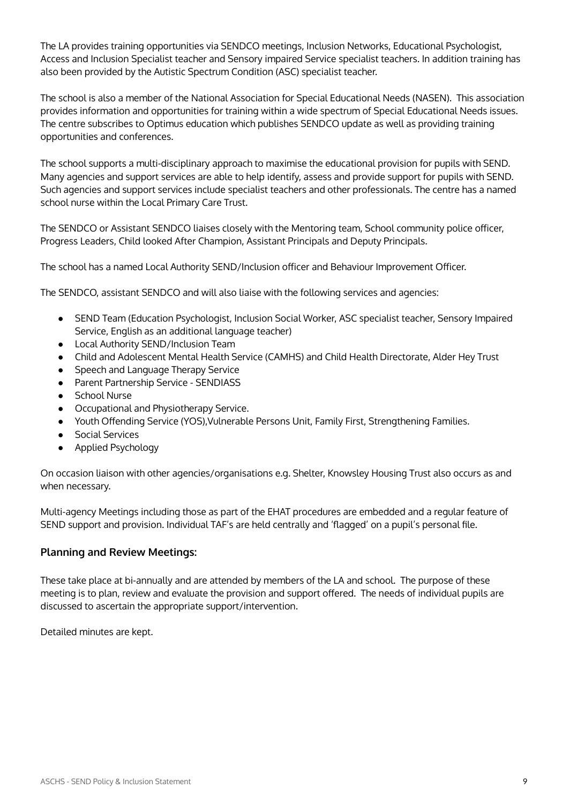The LA provides training opportunities via SENDCO meetings, Inclusion Networks, Educational Psychologist, Access and Inclusion Specialist teacher and Sensory impaired Service specialist teachers. In addition training has also been provided by the Autistic Spectrum Condition (ASC) specialist teacher.

The school is also a member of the National Association for Special Educational Needs (NASEN). This association provides information and opportunities for training within a wide spectrum of Special Educational Needs issues. The centre subscribes to Optimus education which publishes SENDCO update as well as providing training opportunities and conferences.

The school supports a multi-disciplinary approach to maximise the educational provision for pupils with SEND. Many agencies and support services are able to help identify, assess and provide support for pupils with SEND. Such agencies and support services include specialist teachers and other professionals. The centre has a named school nurse within the Local Primary Care Trust.

The SENDCO or Assistant SENDCO liaises closely with the Mentoring team, School community police officer, Progress Leaders, Child looked After Champion, Assistant Principals and Deputy Principals.

The school has a named Local Authority SEND/Inclusion officer and Behaviour Improvement Officer.

The SENDCO, assistant SENDCO and will also liaise with the following services and agencies:

- SEND Team (Education Psychologist, Inclusion Social Worker, ASC specialist teacher, Sensory Impaired Service, English as an additional language teacher)
- Local Authority SEND/Inclusion Team
- Child and Adolescent Mental Health Service (CAMHS) and Child Health Directorate, Alder Hey Trust
- Speech and Language Therapy Service
- Parent Partnership Service SENDIASS
- School Nurse
- Occupational and Physiotherapy Service.
- Youth Offending Service (YOS),Vulnerable Persons Unit, Family First, Strengthening Families.
- Social Services
- Applied Psychology

On occasion liaison with other agencies/organisations e.g. Shelter, Knowsley Housing Trust also occurs as and when necessary.

Multi-agency Meetings including those as part of the EHAT procedures are embedded and a regular feature of SEND support and provision. Individual TAF's are held centrally and 'flagged' on a pupil's personal file.

#### **Planning and Review Meetings:**

These take place at bi-annually and are attended by members of the LA and school. The purpose of these meeting is to plan, review and evaluate the provision and support offered. The needs of individual pupils are discussed to ascertain the appropriate support/intervention.

Detailed minutes are kept.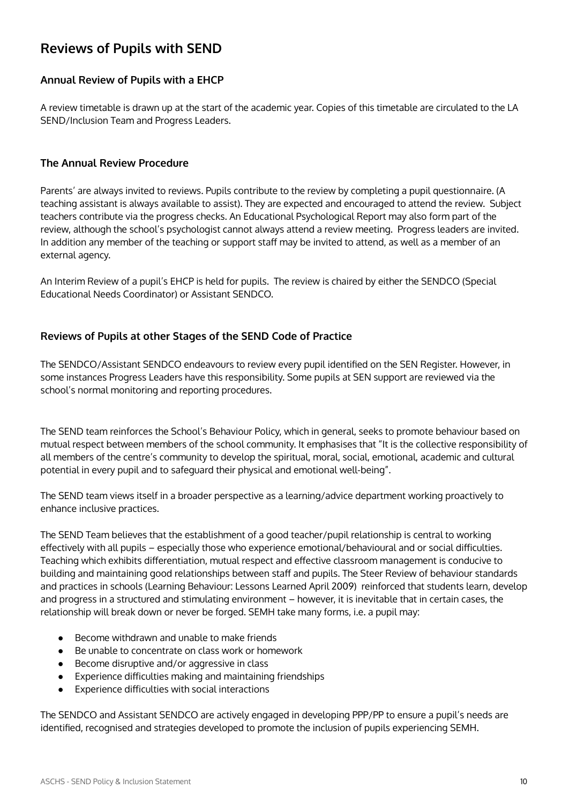# **Reviews of Pupils with SEND**

#### **Annual Review of Pupils with a EHCP**

A review timetable is drawn up at the start of the academic year. Copies of this timetable are circulated to the LA SEND/Inclusion Team and Progress Leaders.

#### **The Annual Review Procedure**

Parents' are always invited to reviews. Pupils contribute to the review by completing a pupil questionnaire. (A teaching assistant is always available to assist). They are expected and encouraged to attend the review. Subject teachers contribute via the progress checks. An Educational Psychological Report may also form part of the review, although the school's psychologist cannot always attend a review meeting. Progress leaders are invited. In addition any member of the teaching or support staff may be invited to attend, as well as a member of an external agency.

An Interim Review of a pupil's EHCP is held for pupils. The review is chaired by either the SENDCO (Special Educational Needs Coordinator) or Assistant SENDCO.

#### **Reviews of Pupils at other Stages of the SEND Code of Practice**

The SENDCO/Assistant SENDCO endeavours to review every pupil identified on the SEN Register. However, in some instances Progress Leaders have this responsibility. Some pupils at SEN support are reviewed via the school's normal monitoring and reporting procedures.

The SEND team reinforces the School's Behaviour Policy, which in general, seeks to promote behaviour based on mutual respect between members of the school community. It emphasises that "It is the collective responsibility of all members of the centre's community to develop the spiritual, moral, social, emotional, academic and cultural potential in every pupil and to safeguard their physical and emotional well-being".

The SEND team views itself in a broader perspective as a learning/advice department working proactively to enhance inclusive practices.

The SEND Team believes that the establishment of a good teacher/pupil relationship is central to working effectively with all pupils – especially those who experience emotional/behavioural and or social difficulties. Teaching which exhibits differentiation, mutual respect and effective classroom management is conducive to building and maintaining good relationships between staff and pupils. The Steer Review of behaviour standards and practices in schools (Learning Behaviour: Lessons Learned April 2009) reinforced that students learn, develop and progress in a structured and stimulating environment – however, it is inevitable that in certain cases, the relationship will break down or never be forged. SEMH take many forms, i.e. a pupil may:

- Become withdrawn and unable to make friends
- Be unable to concentrate on class work or homework
- Become disruptive and/or aggressive in class
- Experience difficulties making and maintaining friendships
- Experience difficulties with social interactions

The SENDCO and Assistant SENDCO are actively engaged in developing PPP/PP to ensure a pupil's needs are identified, recognised and strategies developed to promote the inclusion of pupils experiencing SEMH.